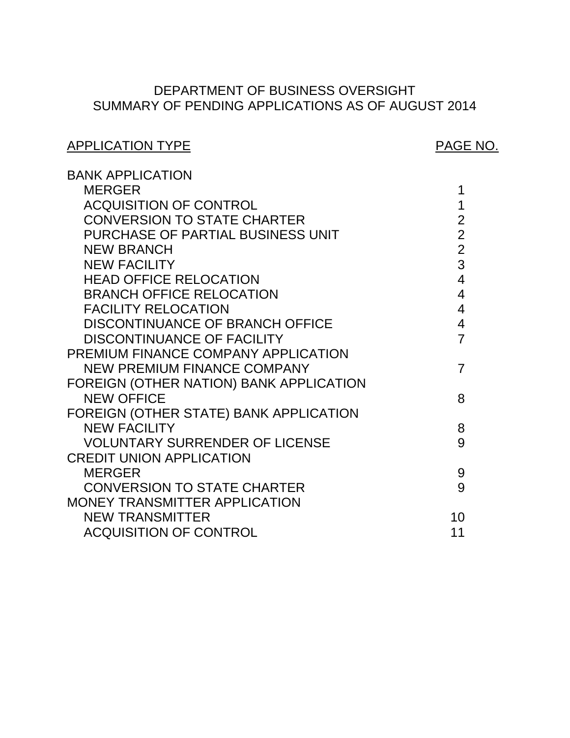# SUMMARY OF PENDING APPLICATIONS AS OF AUGUST 2014 DEPARTMENT OF BUSINESS OVERSIGHT

# APPLICATION TYPE APPLICATION TYPE

| <b>BANK APPLICATION</b>                 |                |
|-----------------------------------------|----------------|
| <b>MERGER</b>                           | 1              |
| <b>ACQUISITION OF CONTROL</b>           | 1              |
| <b>CONVERSION TO STATE CHARTER</b>      | $\overline{2}$ |
| PURCHASE OF PARTIAL BUSINESS UNIT       | $\overline{2}$ |
| <b>NEW BRANCH</b>                       | $\overline{2}$ |
| <b>NEW FACILITY</b>                     | 3              |
| <b>HEAD OFFICE RELOCATION</b>           | $\overline{4}$ |
| <b>BRANCH OFFICE RELOCATION</b>         | $\overline{4}$ |
| <b>FACILITY RELOCATION</b>              | $\overline{4}$ |
| <b>DISCONTINUANCE OF BRANCH OFFICE</b>  | $\overline{4}$ |
| <b>DISCONTINUANCE OF FACILITY</b>       | $\overline{7}$ |
| PREMIUM FINANCE COMPANY APPLICATION     |                |
| <b>NEW PREMIUM FINANCE COMPANY</b>      | $\overline{7}$ |
| FOREIGN (OTHER NATION) BANK APPLICATION |                |
| <b>NEW OFFICE</b>                       | 8              |
| FOREIGN (OTHER STATE) BANK APPLICATION  |                |
| <b>NEW FACILITY</b>                     | 8              |
| <b>VOLUNTARY SURRENDER OF LICENSE</b>   | 9              |
| <b>CREDIT UNION APPLICATION</b>         |                |
| <b>MERGER</b>                           | 9              |
| <b>CONVERSION TO STATE CHARTER</b>      | 9              |
| MONEY TRANSMITTER APPLICATION           |                |
| <b>NEW TRANSMITTER</b>                  | 10             |
| <b>ACQUISITION OF CONTROL</b>           | 11             |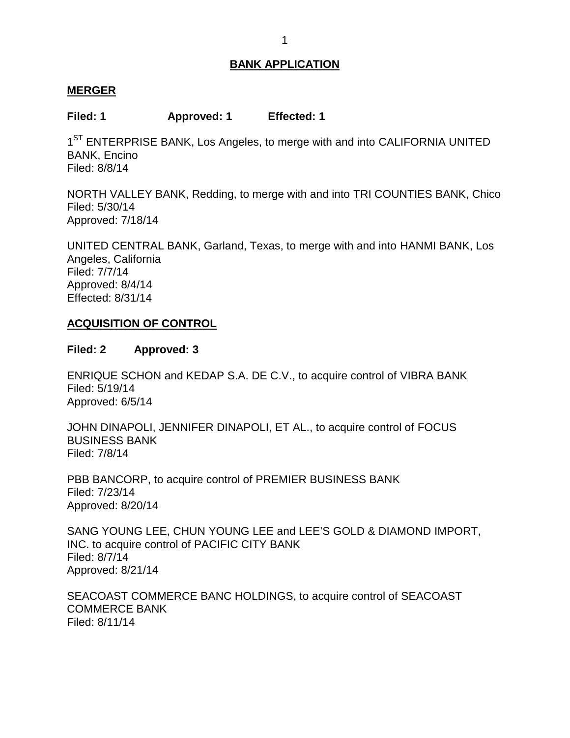#### <span id="page-1-0"></span>**MERGER**

**Filed: 1 Approved: 1 Effected: 1** 

1<sup>ST</sup> ENTERPRISE BANK, Los Angeles, to merge with and into CALIFORNIA UNITED BANK, Encino Filed: 8/8/14

 NORTH VALLEY BANK, Redding, to merge with and into TRI COUNTIES BANK, Chico Filed: 5/30/14 Approved: 7/18/14

 UNITED CENTRAL BANK, Garland, Texas, to merge with and into HANMI BANK, Los Angeles, California Filed: 7/7/14 Approved: 8/4/14 Effected: 8/31/14

### **ACQUISITION OF CONTROL**

#### **Filed: 2 Approved: 3**

 ENRIQUE SCHON and KEDAP S.A. DE C.V., to acquire control of VIBRA BANK Filed: 5/19/14 Approved: 6/5/14

 JOHN DINAPOLI, JENNIFER DINAPOLI, ET AL., to acquire control of FOCUS BUSINESS BANK Filed: 7/8/14

 PBB BANCORP, to acquire control of PREMIER BUSINESS BANK Filed: 7/23/14 Approved: 8/20/14

 SANG YOUNG LEE, CHUN YOUNG LEE and LEE'S GOLD & DIAMOND IMPORT, INC. to acquire control of PACIFIC CITY BANK Filed: 8/7/14 Approved: 8/21/14

 SEACOAST COMMERCE BANC HOLDINGS, to acquire control of SEACOAST COMMERCE BANK Filed: 8/11/14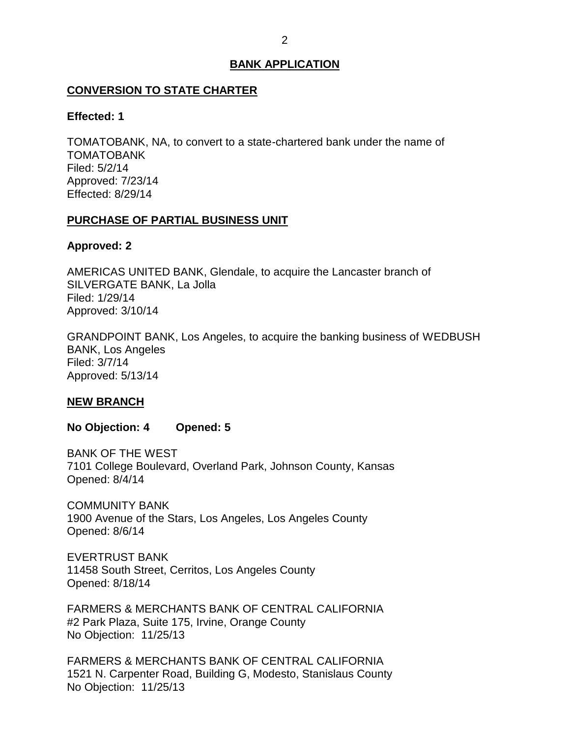# <span id="page-2-0"></span> **CONVERSION TO STATE CHARTER**

#### **Effected: 1**

 TOMATOBANK, NA, to convert to a state-chartered bank under the name of TOMATOBANK Filed: 5/2/14 Approved: 7/23/14 Effected: 8/29/14

# **PURCHASE OF PARTIAL BUSINESS UNIT**

# **Approved: 2**

 AMERICAS UNITED BANK, Glendale, to acquire the Lancaster branch of SILVERGATE BANK, La Jolla Filed: 1/29/14 Approved: 3/10/14

 GRANDPOINT BANK, Los Angeles, to acquire the banking business of WEDBUSH BANK, Los Angeles Filed: 3/7/14 Approved: 5/13/14

# **NEW BRANCH**

**No Objection: 4 Opened: 5** 

 BANK OF THE WEST 7101 College Boulevard, Overland Park, Johnson County, Kansas Opened: 8/4/14

 1900 Avenue of the Stars, Los Angeles, Los Angeles County COMMUNITY BANK Opened: 8/6/14

 11458 South Street, Cerritos, Los Angeles County EVERTRUST BANK Opened: 8/18/14

 FARMERS & MERCHANTS BANK OF CENTRAL CALIFORNIA #2 Park Plaza, Suite 175, Irvine, Orange County No Objection: 11/25/13

 FARMERS & MERCHANTS BANK OF CENTRAL CALIFORNIA 1521 N. Carpenter Road, Building G, Modesto, Stanislaus County No Objection: 11/25/13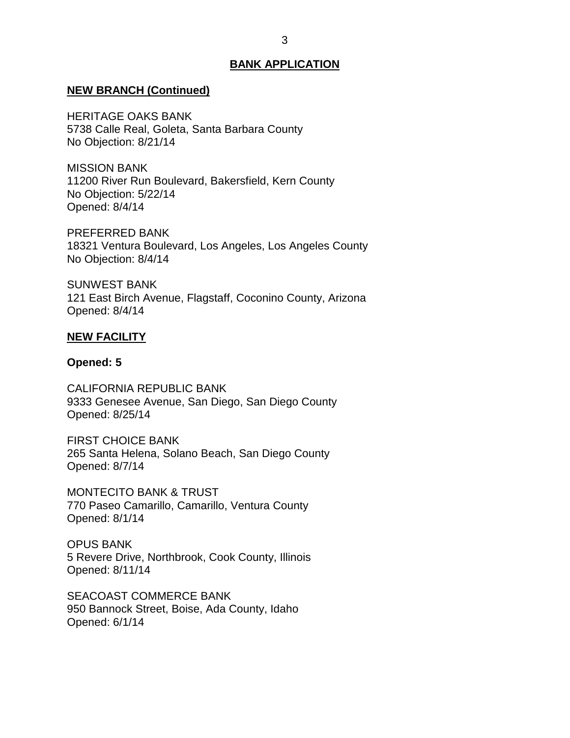#### <span id="page-3-0"></span>**NEW BRANCH (Continued)**

 HERITAGE OAKS BANK 5738 Calle Real, Goleta, Santa Barbara County No Objection: 8/21/14

 11200 River Run Boulevard, Bakersfield, Kern County No Objection: 5/22/14 MISSION BANK Opened: 8/4/14

 18321 Ventura Boulevard, Los Angeles, Los Angeles County No Objection: 8/4/14 PREFERRED BANK

 121 East Birch Avenue, Flagstaff, Coconino County, Arizona SUNWEST BANK Opened: 8/4/14

#### **NEW FACILITY**

#### **Opened: 5**

 9333 Genesee Avenue, San Diego, San Diego County CALIFORNIA REPUBLIC BANK Opened: 8/25/14

 FIRST CHOICE BANK 265 Santa Helena, Solano Beach, San Diego County Opened: 8/7/14

 MONTECITO BANK & TRUST 770 Paseo Camarillo, Camarillo, Ventura County Opened: 8/1/14

 5 Revere Drive, Northbrook, Cook County, Illinois OPUS BANK Opened: 8/11/14

 950 Bannock Street, Boise, Ada County, Idaho SEACOAST COMMERCE BANK Opened: 6/1/14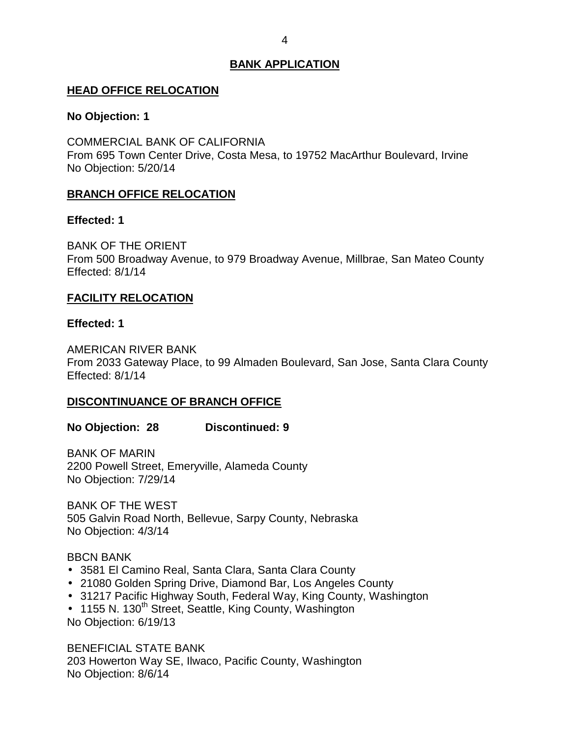#### <span id="page-4-0"></span>**HEAD OFFICE RELOCATION**

#### **No Objection: 1**

 COMMERCIAL BANK OF CALIFORNIA From 695 Town Center Drive, Costa Mesa, to 19752 MacArthur Boulevard, Irvine No Objection: 5/20/14

# **BRANCH OFFICE RELOCATION**

#### **Effected: 1**

 BANK OF THE ORIENT From 500 Broadway Avenue, to 979 Broadway Avenue, Millbrae, San Mateo County Effected: 8/1/14

# **FACILITY RELOCATION**

# **Effected: 1**

 From 2033 Gateway Place, to 99 Almaden Boulevard, San Jose, Santa Clara County AMERICAN RIVER BANK Effected: 8/1/14

### **DISCONTINUANCE OF BRANCH OFFICE**

**No Objection: 28 Discontinued: 9** 

 2200 Powell Street, Emeryville, Alameda County BANK OF MARIN No Objection: 7/29/14

 BANK OF THE WEST 505 Galvin Road North, Bellevue, Sarpy County, Nebraska No Objection: 4/3/14

### BBCN BANK

- 3581 El Camino Real, Santa Clara, Santa Clara County
- 21080 Golden Spring Drive, Diamond Bar, Los Angeles County
- 31217 Pacific Highway South, Federal Way, King County, Washington
- 1155 N. 130<sup>th</sup> Street, Seattle, King County, Washington No Objection: 6/19/13

 BENEFICIAL STATE BANK 203 Howerton Way SE, Ilwaco, Pacific County, Washington No Objection: 8/6/14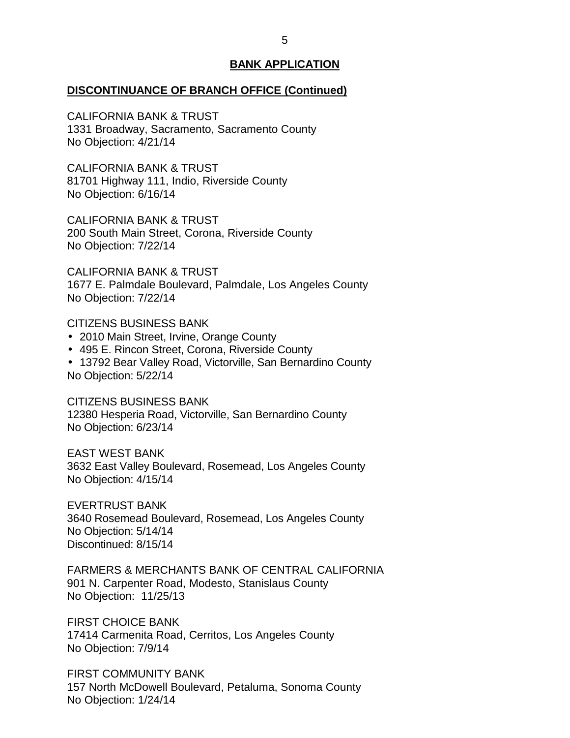#### **DISCONTINUANCE OF BRANCH OFFICE (Continued)**

 CALIFORNIA BANK & TRUST 1331 Broadway, Sacramento, Sacramento County No Objection: 4/21/14

 CALIFORNIA BANK & TRUST 81701 Highway 111, Indio, Riverside County No Objection: 6/16/14

 CALIFORNIA BANK & TRUST 200 South Main Street, Corona, Riverside County No Objection: 7/22/14

 CALIFORNIA BANK & TRUST 1677 E. Palmdale Boulevard, Palmdale, Los Angeles County No Objection: 7/22/14

#### CITIZENS BUSINESS BANK

- 2010 Main Street, Irvine, Orange County
- 495 E. Rincon Street, Corona, Riverside County
- 13792 Bear Valley Road, Victorville, San Bernardino County No Objection: 5/22/14

 CITIZENS BUSINESS BANK 12380 Hesperia Road, Victorville, San Bernardino County No Objection: 6/23/14

 3632 East Valley Boulevard, Rosemead, Los Angeles County No Objection: 4/15/14 EAST WEST BANK

 3640 Rosemead Boulevard, Rosemead, Los Angeles County No Objection: 5/14/14 EVERTRUST BANK Discontinued: 8/15/14

 FARMERS & MERCHANTS BANK OF CENTRAL CALIFORNIA 901 N. Carpenter Road, Modesto, Stanislaus County No Objection: 11/25/13

 FIRST CHOICE BANK 17414 Carmenita Road, Cerritos, Los Angeles County No Objection: 7/9/14

 157 North McDowell Boulevard, Petaluma, Sonoma County FIRST COMMUNITY BANK No Objection: 1/24/14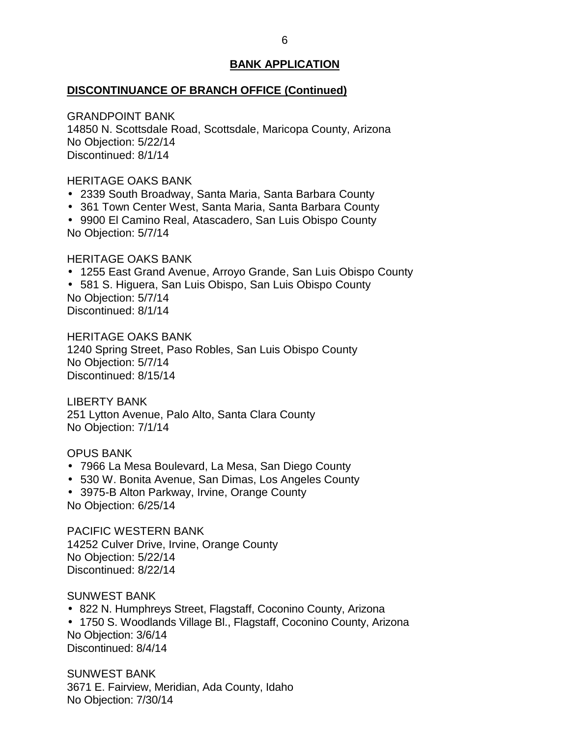#### **DISCONTINUANCE OF BRANCH OFFICE (Continued)**

 14850 N. Scottsdale Road, Scottsdale, Maricopa County, Arizona No Objection: 5/22/14 GRANDPOINT BANK Discontinued: 8/1/14

#### HERITAGE OAKS BANK

- 2339 South Broadway, Santa Maria, Santa Barbara County
- 361 Town Center West, Santa Maria, Santa Barbara County
- 9900 El Camino Real, Atascadero, San Luis Obispo County No Objection: 5/7/14

#### HERITAGE OAKS BANK

- 1255 East Grand Avenue, Arroyo Grande, San Luis Obispo County
- 581 S. Higuera, San Luis Obispo, San Luis Obispo County No Objection: 5/7/14

Discontinued: 8/1/14

 HERITAGE OAKS BANK 1240 Spring Street, Paso Robles, San Luis Obispo County No Objection: 5/7/14 Discontinued: 8/15/14

 251 Lytton Avenue, Palo Alto, Santa Clara County No Objection: 7/1/14 LIBERTY BANK

#### OPUS BANK

- 7966 La Mesa Boulevard, La Mesa, San Diego County
- 530 W. Bonita Avenue, San Dimas, Los Angeles County
- 3975-B Alton Parkway, Irvine, Orange County No Objection: 6/25/14

 14252 Culver Drive, Irvine, Orange County No Objection: 5/22/14 PACIFIC WESTERN BANK Discontinued: 8/22/14

SUNWEST BANK

- 822 N. Humphreys Street, Flagstaff, Coconino County, Arizona
- 1750 S. Woodlands Village Bl., Flagstaff, Coconino County, Arizona No Objection: 3/6/14 Discontinued: 8/4/14

 3671 E. Fairview, Meridian, Ada County, Idaho No Objection: 7/30/14 SUNWEST BANK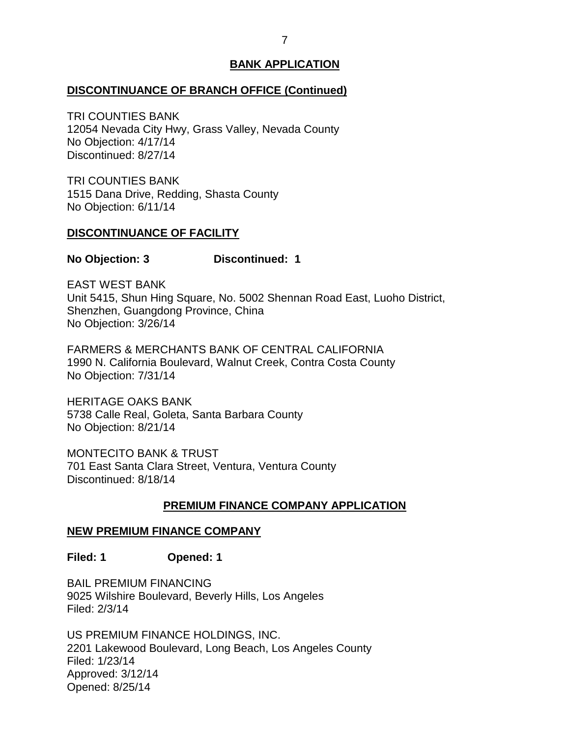# <span id="page-7-0"></span>**DISCONTINUANCE OF BRANCH OFFICE (Continued)**

 12054 Nevada City Hwy, Grass Valley, Nevada County No Objection: 4/17/14 TRI COUNTIES BANK Discontinued: 8/27/14

 1515 Dana Drive, Redding, Shasta County No Objection: 6/11/14 TRI COUNTIES BANK

### **DISCONTINUANCE OF FACILITY**

#### **No Objection: 3 Discontinued: 1**

 EAST WEST BANK Unit 5415, Shun Hing Square, No. 5002 Shennan Road East, Luoho District, Shenzhen, Guangdong Province, China No Objection: 3/26/14

 FARMERS & MERCHANTS BANK OF CENTRAL CALIFORNIA 1990 N. California Boulevard, Walnut Creek, Contra Costa County No Objection: 7/31/14

 HERITAGE OAKS BANK 5738 Calle Real, Goleta, Santa Barbara County No Objection: 8/21/14

 MONTECITO BANK & TRUST 701 East Santa Clara Street, Ventura, Ventura County Discontinued: 8/18/14

# **PREMIUM FINANCE COMPANY APPLICATION**

# **NEW PREMIUM FINANCE COMPANY**

**Filed: 1 Opened: 1** 

 BAIL PREMIUM FINANCING 9025 Wilshire Boulevard, Beverly Hills, Los Angeles Filed: 2/3/14

 US PREMIUM FINANCE HOLDINGS, INC. 2201 Lakewood Boulevard, Long Beach, Los Angeles County Filed: 1/23/14 Approved: 3/12/14 Opened: 8/25/14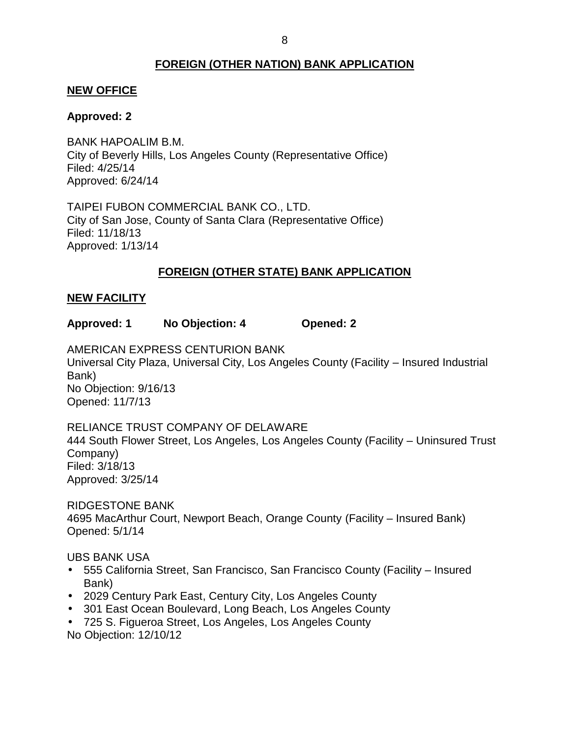# **FOREIGN (OTHER NATION) BANK APPLICATION**

#### <span id="page-8-0"></span>**NEW OFFICE**

#### **Approved: 2**

 City of Beverly Hills, Los Angeles County (Representative Office) BANK HAPOALIM B.M. Filed: 4/25/14 Approved: 6/24/14

 TAIPEI FUBON COMMERCIAL BANK CO., LTD. City of San Jose, County of Santa Clara (Representative Office) Filed: 11/18/13 Approved: 1/13/14

# **FOREIGN (OTHER STATE) BANK APPLICATION**

#### **NEW FACILITY**

**Approved: 1 No Objection: 4 Opened: 2** 

 Universal City Plaza, Universal City, Los Angeles County (Facility – Insured Industrial AMERICAN EXPRESS CENTURION BANK Bank) No Objection: 9/16/13 Opened: 11/7/13

 RELIANCE TRUST COMPANY OF DELAWARE 444 South Flower Street, Los Angeles, Los Angeles County (Facility – Uninsured Trust Company) Filed: 3/18/13 Approved: 3/25/14

 4695 MacArthur Court, Newport Beach, Orange County (Facility – Insured Bank) RIDGESTONE BANK Opened: 5/1/14

UBS BANK USA

- 555 California Street, San Francisco, San Francisco County (Facility Insured Bank)
- 2029 Century Park East, Century City, Los Angeles County
- 301 East Ocean Boulevard, Long Beach, Los Angeles County
- 725 S. Figueroa Street, Los Angeles, Los Angeles County No Objection: 12/10/12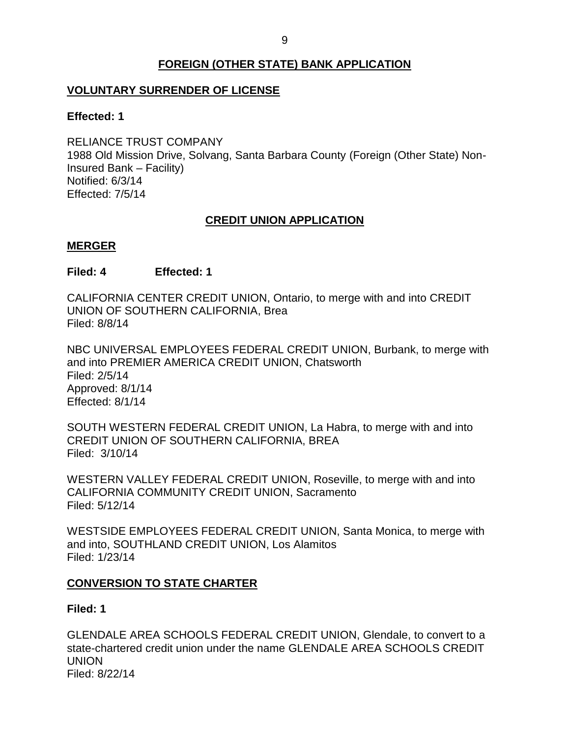# **FOREIGN (OTHER STATE) BANK APPLICATION**

# <span id="page-9-0"></span>**VOLUNTARY SURRENDER OF LICENSE**

#### **Effected: 1**

 RELIANCE TRUST COMPANY 1988 Old Mission Drive, Solvang, Santa Barbara County (Foreign (Other State) Non-Insured Bank – Facility) Notified: 6/3/14 Effected: 7/5/14

# **CREDIT UNION APPLICATION**

### **MERGER**

# **Filed: 4 Effected: 1**

 CALIFORNIA CENTER CREDIT UNION, Ontario, to merge with and into CREDIT UNION OF SOUTHERN CALIFORNIA, Brea Filed: 8/8/14

 NBC UNIVERSAL EMPLOYEES FEDERAL CREDIT UNION, Burbank, to merge with and into PREMIER AMERICA CREDIT UNION, Chatsworth Filed: 2/5/14 Approved: 8/1/14 Effected: 8/1/14

 SOUTH WESTERN FEDERAL CREDIT UNION, La Habra, to merge with and into Filed: 3/10/14 CREDIT UNION OF SOUTHERN CALIFORNIA, BREA

 WESTERN VALLEY FEDERAL CREDIT UNION, Roseville, to merge with and into CALIFORNIA COMMUNITY CREDIT UNION, Sacramento Filed: 5/12/14

 WESTSIDE EMPLOYEES FEDERAL CREDIT UNION, Santa Monica, to merge with and into, SOUTHLAND CREDIT UNION, Los Alamitos Filed: 1/23/14

# **CONVERSION TO STATE CHARTER**

### **Filed: 1**

 GLENDALE AREA SCHOOLS FEDERAL CREDIT UNION, Glendale, to convert to a state-chartered credit union under the name GLENDALE AREA SCHOOLS CREDIT UNION Filed: 8/22/14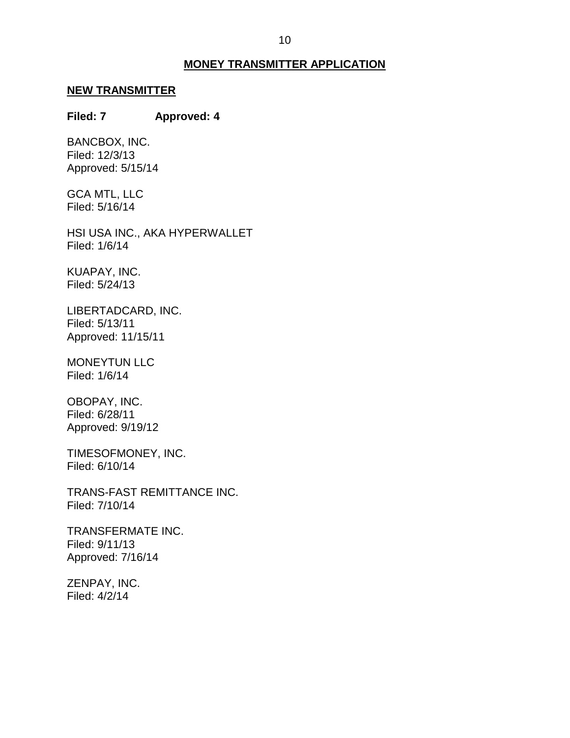#### **MONEY TRANSMITTER APPLICATION**

# <span id="page-10-0"></span>**NEW TRANSMITTER**

# **Filed: 7 Approved: 4**

BANCBOX, INC. Filed: 12/3/13 Approved: 5/15/14

 GCA MTL, LLC Filed: 5/16/14

 HSI USA INC., AKA HYPERWALLET Filed: 1/6/14

KUAPAY, INC. Filed: 5/24/13

LIBERTADCARD, INC. Filed: 5/13/11 Approved: 11/15/11

MONEYTUN LLC Filed: 1/6/14

OBOPAY, INC. Filed: 6/28/11 Approved: 9/19/12

TIMESOFMONEY, INC. Filed: 6/10/14

TRANS-FAST REMITTANCE INC. Filed: 7/10/14

TRANSFERMATE INC. Filed: 9/11/13 Approved: 7/16/14

ZENPAY, INC. Filed: 4/2/14